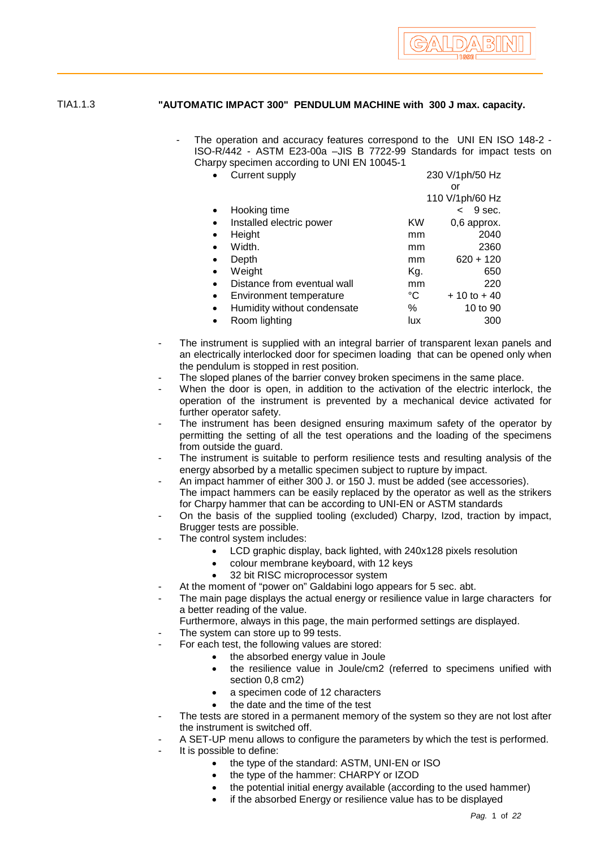

## TIA1.1.3 **"AUTOMATIC IMPACT 300" PENDULUM MACHINE with 300 J max. capacity.**

The operation and accuracy features correspond to the UNI EN ISO 148-2 -ISO-R/442 - ASTM E23-00a –JIS B 7722-99 Standards for impact tests on Charpy specimen according to UNI EN 10045-1

|           | <b>Current supply</b>       | 230 V/1ph/50 Hz |                                    |
|-----------|-----------------------------|-----------------|------------------------------------|
|           |                             |                 | or                                 |
|           |                             |                 | 110 V/1ph/60 Hz                    |
|           | Hooking time                |                 | 9 sec.<br>$\overline{\phantom{a}}$ |
|           | Installed electric power    | KW              | 0,6 approx.                        |
|           | Height                      | mm              | 2040                               |
|           | Width.                      | mm              | 2360                               |
|           | Depth                       | mm              | $620 + 120$                        |
| $\bullet$ | Weight                      | Kg.             | 650                                |
| $\bullet$ | Distance from eventual wall | mm              | 220                                |
| $\bullet$ | Environment temperature     | °C              | $+10$ to $+40$                     |
| $\bullet$ | Humidity without condensate | %               | 10 to 90                           |
|           | Room lighting               | lux             | 300                                |

- The instrument is supplied with an integral barrier of transparent lexan panels and an electrically interlocked door for specimen loading that can be opened only when the pendulum is stopped in rest position.
- The sloped planes of the barrier convey broken specimens in the same place.
- When the door is open, in addition to the activation of the electric interlock, the operation of the instrument is prevented by a mechanical device activated for further operator safety.
- The instrument has been designed ensuring maximum safety of the operator by permitting the setting of all the test operations and the loading of the specimens from outside the guard.
- The instrument is suitable to perform resilience tests and resulting analysis of the energy absorbed by a metallic specimen subject to rupture by impact.
- An impact hammer of either 300 J. or 150 J. must be added (see accessories). The impact hammers can be easily replaced by the operator as well as the strikers for Charpy hammer that can be according to UNI-EN or ASTM standards
- On the basis of the supplied tooling (excluded) Charpy, Izod, traction by impact, Brugger tests are possible.
- The control system includes:
	- LCD graphic display, back lighted, with 240x128 pixels resolution
	- colour membrane keyboard, with 12 keys
	- 32 bit RISC microprocessor system
- At the moment of "power on" Galdabini logo appears for 5 sec. abt.
- The main page displays the actual energy or resilience value in large characters for a better reading of the value.
	- Furthermore, always in this page, the main performed settings are displayed.
	- The system can store up to 99 tests.
	- For each test, the following values are stored:
		- the absorbed energy value in Joule
			- the resilience value in Joule/cm2 (referred to specimens unified with section 0,8 cm2)
			- a specimen code of 12 characters
			- the date and the time of the test
- The tests are stored in a permanent memory of the system so they are not lost after the instrument is switched off.
- A SET-UP menu allows to configure the parameters by which the test is performed.
- It is possible to define:
	- the type of the standard: ASTM, UNI-EN or ISO
	- the type of the hammer: CHARPY or IZOD
	- the potential initial energy available (according to the used hammer)
	- if the absorbed Energy or resilience value has to be displayed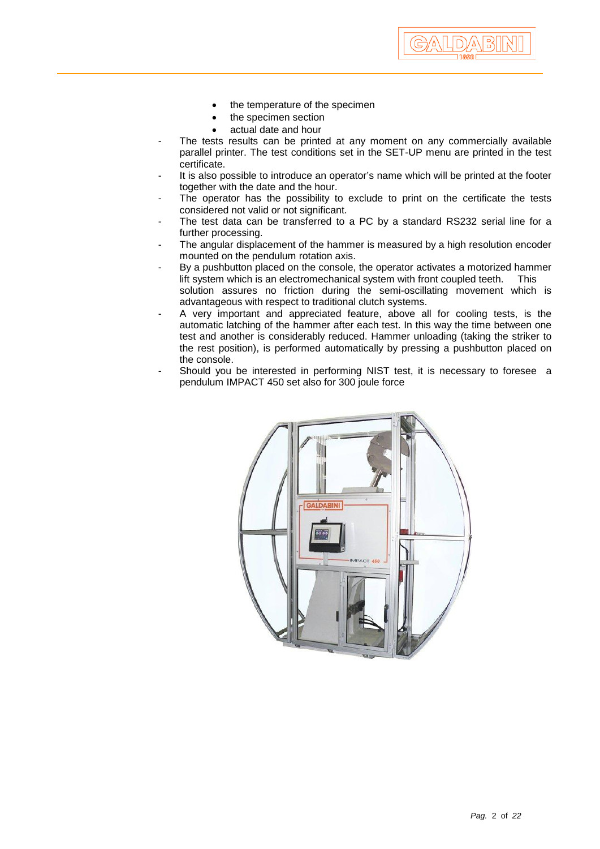- the temperature of the specimen
- the specimen section
- actual date and hour
- The tests results can be printed at any moment on any commercially available parallel printer. The test conditions set in the SET-UP menu are printed in the test certificate.

GALDABII

- It is also possible to introduce an operator's name which will be printed at the footer together with the date and the hour.
- The operator has the possibility to exclude to print on the certificate the tests considered not valid or not significant.
- The test data can be transferred to a PC by a standard RS232 serial line for a further processing.
- The angular displacement of the hammer is measured by a high resolution encoder mounted on the pendulum rotation axis.
- By a pushbutton placed on the console, the operator activates a motorized hammer lift system which is an electromechanical system with front coupled teeth. This solution assures no friction during the semi-oscillating movement which is advantageous with respect to traditional clutch systems.
- A very important and appreciated feature, above all for cooling tests, is the automatic latching of the hammer after each test. In this way the time between one test and another is considerably reduced. Hammer unloading (taking the striker to the rest position), is performed automatically by pressing a pushbutton placed on the console.
- Should you be interested in performing NIST test, it is necessary to foresee a pendulum IMPACT 450 set also for 300 joule force

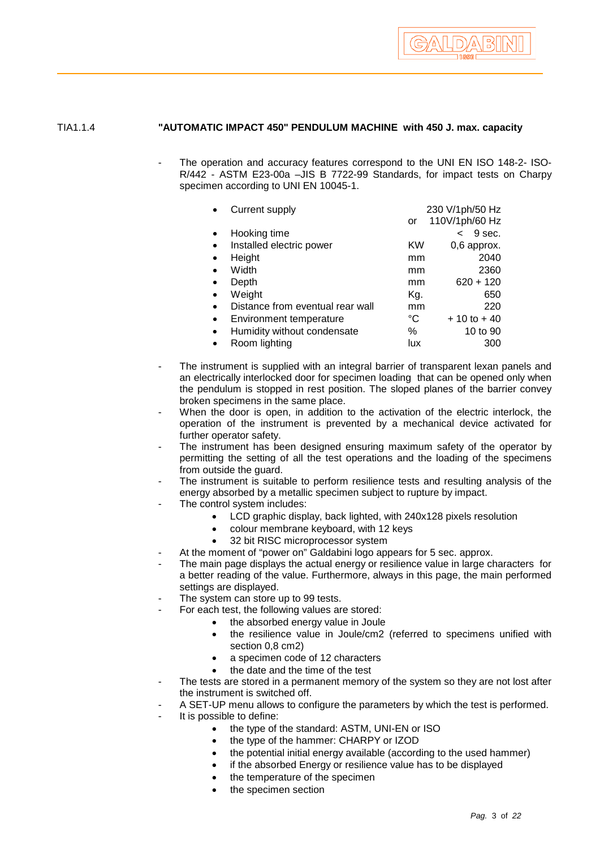

## TIA1.1.4 **"AUTOMATIC IMPACT 450" PENDULUM MACHINE with 450 J. max. capacity**

The operation and accuracy features correspond to the UNI EN ISO 148-2- ISO-R/442 - ASTM E23-00a –JIS B 7722-99 Standards, for impact tests on Charpy specimen according to UNI EN 10045-1.

|           | Current supply                   |     | 230 V/1ph/50 Hz                    |
|-----------|----------------------------------|-----|------------------------------------|
|           |                                  | or  | 110V/1ph/60 Hz                     |
|           | Hooking time                     |     | 9 sec.<br>$\overline{\phantom{a}}$ |
|           | Installed electric power         | KW  | 0,6 approx.                        |
| $\bullet$ | Height                           | mm  | 2040                               |
| $\bullet$ | Width                            | mm  | 2360                               |
|           | Depth                            | mm  | $620 + 120$                        |
| $\bullet$ | Weight                           | Kg. | 650                                |
|           | Distance from eventual rear wall | mm  | 220                                |
| $\bullet$ | Environment temperature          | °C  | $+10$ to $+40$                     |
| $\bullet$ | Humidity without condensate      | %   | 10 to 90                           |
|           | Room lighting                    | lux | 300                                |

- The instrument is supplied with an integral barrier of transparent lexan panels and an electrically interlocked door for specimen loading that can be opened only when the pendulum is stopped in rest position. The sloped planes of the barrier convey broken specimens in the same place.
- When the door is open, in addition to the activation of the electric interlock, the operation of the instrument is prevented by a mechanical device activated for further operator safety.
- The instrument has been designed ensuring maximum safety of the operator by permitting the setting of all the test operations and the loading of the specimens from outside the guard.
- The instrument is suitable to perform resilience tests and resulting analysis of the energy absorbed by a metallic specimen subject to rupture by impact.
- The control system includes:
	- LCD graphic display, back lighted, with 240x128 pixels resolution
	- colour membrane keyboard, with 12 keys
	- 32 bit RISC microprocessor system
- At the moment of "power on" Galdabini logo appears for 5 sec. approx.
- The main page displays the actual energy or resilience value in large characters for a better reading of the value. Furthermore, always in this page, the main performed settings are displayed.
- The system can store up to 99 tests.
- For each test, the following values are stored:
	- the absorbed energy value in Joule
	- the resilience value in Joule/cm2 (referred to specimens unified with section 0,8 cm2)
	- a specimen code of 12 characters
	- the date and the time of the test
- The tests are stored in a permanent memory of the system so they are not lost after the instrument is switched off.
- A SET-UP menu allows to configure the parameters by which the test is performed.
- It is possible to define:
	- the type of the standard: ASTM, UNI-EN or ISO
	- the type of the hammer: CHARPY or IZOD
	- the potential initial energy available (according to the used hammer)
	- if the absorbed Energy or resilience value has to be displayed
	- the temperature of the specimen
	- the specimen section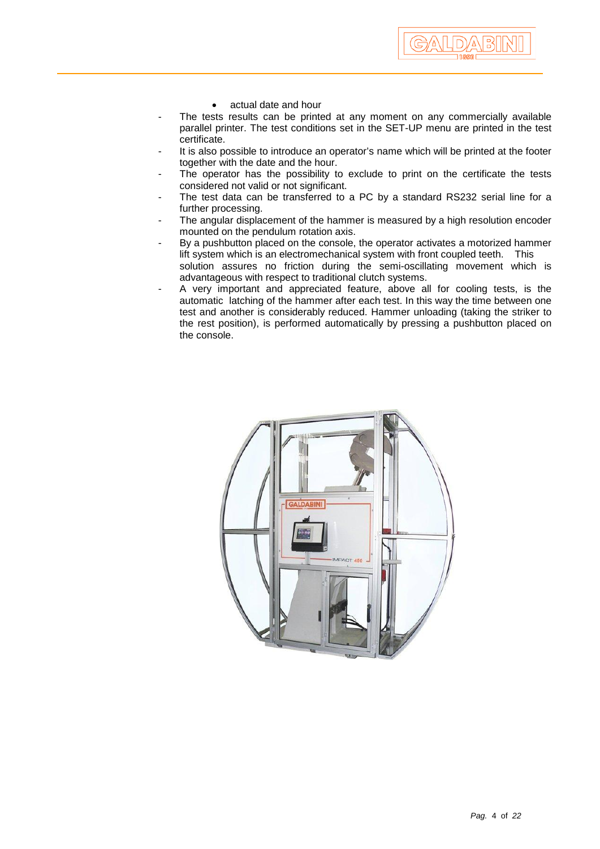- actual date and hour
- The tests results can be printed at any moment on any commercially available parallel printer. The test conditions set in the SET-UP menu are printed in the test certificate.

ALDA BI

- It is also possible to introduce an operator's name which will be printed at the footer together with the date and the hour.
- The operator has the possibility to exclude to print on the certificate the tests considered not valid or not significant.
- The test data can be transferred to a PC by a standard RS232 serial line for a further processing.
- The angular displacement of the hammer is measured by a high resolution encoder mounted on the pendulum rotation axis.
- By a pushbutton placed on the console, the operator activates a motorized hammer lift system which is an electromechanical system with front coupled teeth. This solution assures no friction during the semi-oscillating movement which is advantageous with respect to traditional clutch systems.
- A very important and appreciated feature, above all for cooling tests, is the automatic latching of the hammer after each test. In this way the time between one test and another is considerably reduced. Hammer unloading (taking the striker to the rest position), is performed automatically by pressing a pushbutton placed on the console.

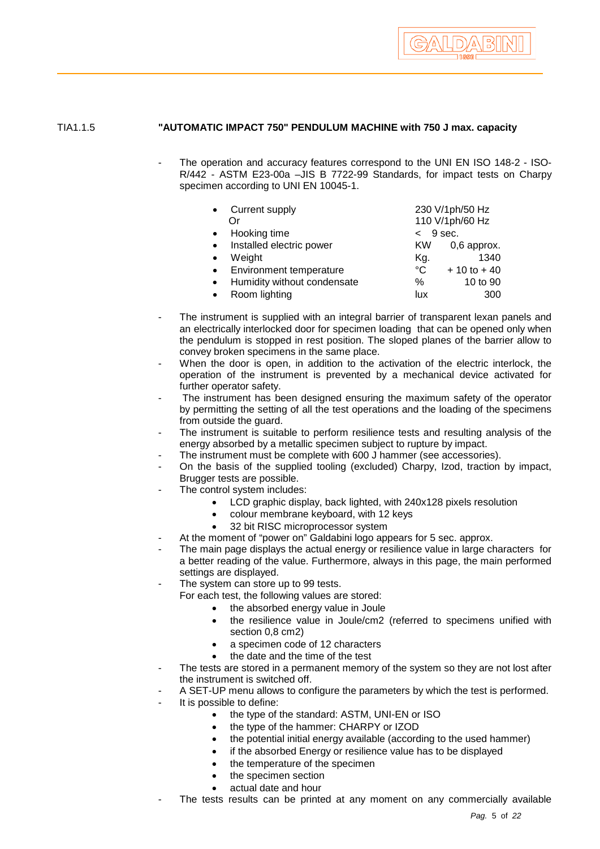

## TIA1.1.5 **"AUTOMATIC IMPACT 750" PENDULUM MACHINE with 750 J max. capacity**

The operation and accuracy features correspond to the UNI EN ISO 148-2 - ISO-R/442 - ASTM E23-00a –JIS B 7722-99 Standards, for impact tests on Charpy specimen according to UNI EN 10045-1.

|           | Current supply              | 230 V/1ph/50 Hz |                |
|-----------|-----------------------------|-----------------|----------------|
|           | Ωr                          | 110 V/1ph/60 Hz |                |
|           | Hooking time                | $<$ 9 sec.      |                |
| $\bullet$ | Installed electric power    | KW.             | 0,6 approx.    |
| $\bullet$ | Weight                      | Kg.             | 1340           |
|           | Environment temperature     | $^{\circ}C$     | $+10$ to $+40$ |
| $\bullet$ | Humidity without condensate | $\%$            | 10 to 90       |
|           | Room lighting               | lux             | 300            |

- The instrument is supplied with an integral barrier of transparent lexan panels and an electrically interlocked door for specimen loading that can be opened only when the pendulum is stopped in rest position. The sloped planes of the barrier allow to convey broken specimens in the same place.
- When the door is open, in addition to the activation of the electric interlock, the operation of the instrument is prevented by a mechanical device activated for further operator safety.
- The instrument has been designed ensuring the maximum safety of the operator by permitting the setting of all the test operations and the loading of the specimens from outside the guard.
- The instrument is suitable to perform resilience tests and resulting analysis of the energy absorbed by a metallic specimen subject to rupture by impact.
- The instrument must be complete with 600 J hammer (see accessories).
- On the basis of the supplied tooling (excluded) Charpy, Izod, traction by impact, Brugger tests are possible.
- The control system includes:
	- LCD graphic display, back lighted, with 240x128 pixels resolution
	- colour membrane keyboard, with 12 keys
	- 32 bit RISC microprocessor system
- At the moment of "power on" Galdabini logo appears for 5 sec. approx.
- The main page displays the actual energy or resilience value in large characters for a better reading of the value. Furthermore, always in this page, the main performed settings are displayed.
- The system can store up to 99 tests.
	- For each test, the following values are stored:
		- the absorbed energy value in Joule
		- the resilience value in Joule/cm2 (referred to specimens unified with section 0,8 cm2)
		- a specimen code of 12 characters
		- the date and the time of the test
- The tests are stored in a permanent memory of the system so they are not lost after the instrument is switched off.
- A SET-UP menu allows to configure the parameters by which the test is performed.
- It is possible to define:
	- the type of the standard: ASTM, UNI-EN or ISO
	- the type of the hammer: CHARPY or IZOD
	- the potential initial energy available (according to the used hammer)
	- if the absorbed Energy or resilience value has to be displayed
	- the temperature of the specimen
	- the specimen section
	- actual date and hour
- The tests results can be printed at any moment on any commercially available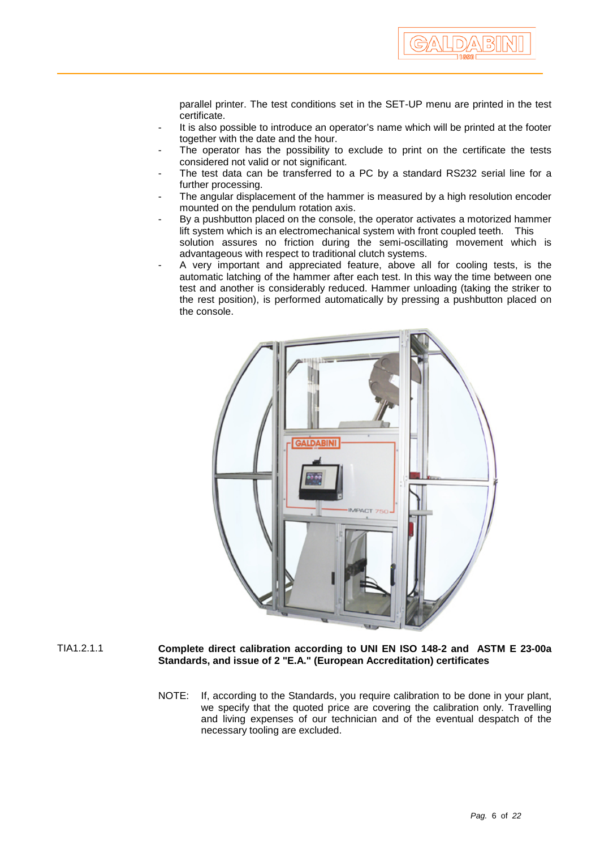parallel printer. The test conditions set in the SET-UP menu are printed in the test certificate.

- It is also possible to introduce an operator's name which will be printed at the footer together with the date and the hour.
- The operator has the possibility to exclude to print on the certificate the tests considered not valid or not significant.
- The test data can be transferred to a PC by a standard RS232 serial line for a further processing.
- The angular displacement of the hammer is measured by a high resolution encoder mounted on the pendulum rotation axis.
- By a pushbutton placed on the console, the operator activates a motorized hammer lift system which is an electromechanical system with front coupled teeth. This solution assures no friction during the semi-oscillating movement which is advantageous with respect to traditional clutch systems.
- A very important and appreciated feature, above all for cooling tests, is the automatic latching of the hammer after each test. In this way the time between one test and another is considerably reduced. Hammer unloading (taking the striker to the rest position), is performed automatically by pressing a pushbutton placed on the console.



- TIA1.2.1.1 **Complete direct calibration according to UNI EN ISO 148-2 and ASTM E 23-00a Standards, and issue of 2 "E.A." (European Accreditation) certificates**
	- NOTE: If, according to the Standards, you require calibration to be done in your plant, we specify that the quoted price are covering the calibration only. Travelling and living expenses of our technician and of the eventual despatch of the necessary tooling are excluded.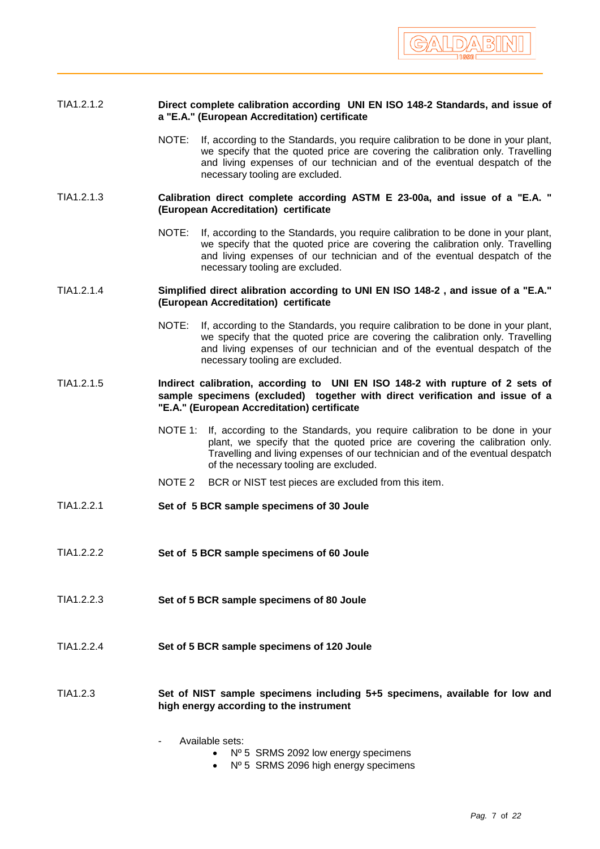

## TIA1.2.1.2 **Direct complete calibration according UNI EN ISO 148-2 Standards, and issue of a "E.A." (European Accreditation) certificate**

NOTE: If, according to the Standards, you require calibration to be done in your plant, we specify that the quoted price are covering the calibration only. Travelling and living expenses of our technician and of the eventual despatch of the necessary tooling are excluded.

### TIA1.2.1.3 **Calibration direct complete according ASTM E 23-00a, and issue of a "E.A. " (European Accreditation) certificate**

NOTE: If, according to the Standards, you require calibration to be done in your plant, we specify that the quoted price are covering the calibration only. Travelling and living expenses of our technician and of the eventual despatch of the necessary tooling are excluded.

### TIA1.2.1.4 **Simplified direct alibration according to UNI EN ISO 148-2 , and issue of a "E.A." (European Accreditation) certificate**

NOTE: If, according to the Standards, you require calibration to be done in your plant, we specify that the quoted price are covering the calibration only. Travelling and living expenses of our technician and of the eventual despatch of the necessary tooling are excluded.

## TIA1.2.1.5 **Indirect calibration, according to UNI EN ISO 148-2 with rupture of 2 sets of sample specimens (excluded) together with direct verification and issue of a "E.A." (European Accreditation) certificate**

- NOTE 1: If, according to the Standards, you require calibration to be done in your plant, we specify that the quoted price are covering the calibration only. Travelling and living expenses of our technician and of the eventual despatch of the necessary tooling are excluded.
- NOTE 2 BCR or NIST test pieces are excluded from this item.
- TIA1.2.2.1 **Set of 5 BCR sample specimens of 30 Joule**
- TIA1.2.2.2 **Set of 5 BCR sample specimens of 60 Joule**
- TIA1.2.2.3 **Set of 5 BCR sample specimens of 80 Joule**
- TIA1.2.2.4 **Set of 5 BCR sample specimens of 120 Joule**

### TIA1.2.3 **Set of NIST sample specimens including 5+5 specimens, available for low and high energy according to the instrument**

Available sets:

- Nº 5 SRMS 2092 low energy specimens
- Nº 5 SRMS 2096 high energy specimens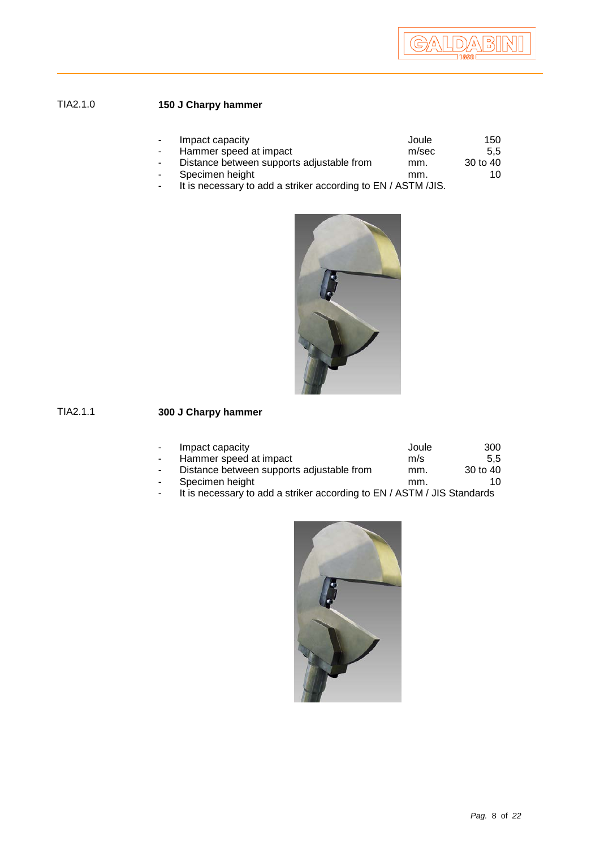# TIA2.1.0 **150 J Charpy hammer**

| $\sim$         | Impact capacity                           | Joule | 150           |
|----------------|-------------------------------------------|-------|---------------|
| $\sim$         | Hammer speed at impact                    | m/sec | $5.5^{\circ}$ |
| $\blacksquare$ | Distance between supports adjustable from | mm.   | 30 to 40      |
|                | Specimen height                           | mm.   | 10            |

- It is necessary to add a striker according to EN / ASTM /JIS.



# TIA2.1.1 **300 J Charpy hammer**

| $\sim$ 10 $\,$  | Impact capacity                           | Joule | 300           |
|-----------------|-------------------------------------------|-------|---------------|
| $\sim$ 10 $\pm$ | Hammer speed at impact                    | m/s   | $5.5^{\circ}$ |
| $\sim$          | Distance between supports adjustable from | mm.   | 30 to 40      |
| $\sim$ 10 $\,$  | Specimen height                           | mm.   | 10.           |

- It is necessary to add a striker according to EN / ASTM / JIS Standards

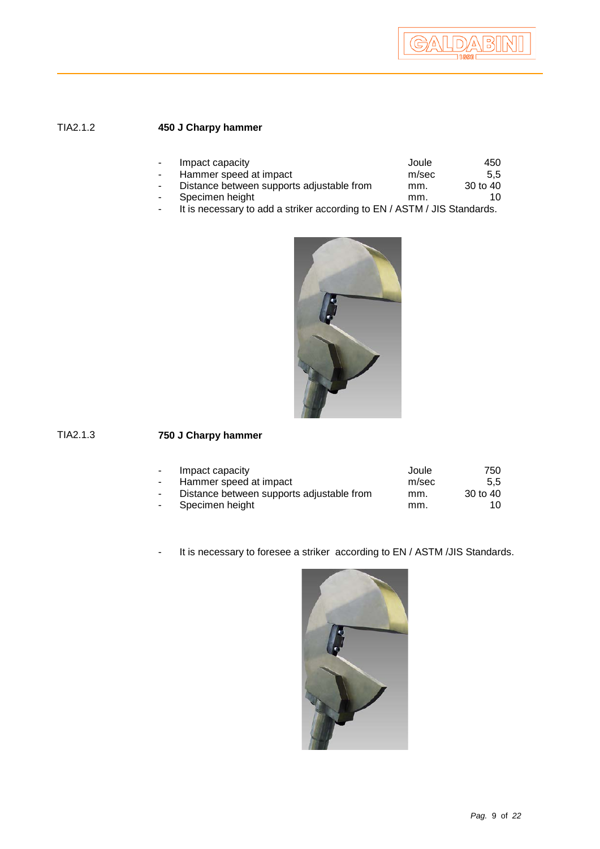# TIA2.1.2 **450 J Charpy hammer**

| $\sim$ 10 $\,$ | Impact capacity                           | Joule | 450           |
|----------------|-------------------------------------------|-------|---------------|
| $\sim$         | Hammer speed at impact                    | m/sec | $5.5^{\circ}$ |
| $\sim$         | Distance between supports adjustable from | mm.   | 30 to 40      |
| $\sim$         | Specimen height                           | mm.   | 10            |

- It is necessary to add a striker according to EN / ASTM / JIS Standards.



# TIA2.1.3 **750 J Charpy hammer**

| Impact capacity | Joule                                                               | 750      |
|-----------------|---------------------------------------------------------------------|----------|
|                 | m/sec                                                               | 5.5      |
|                 | mm.                                                                 | 30 to 40 |
| Specimen height | mm.                                                                 | 10       |
|                 | Hammer speed at impact<br>Distance between supports adjustable from |          |

- It is necessary to foresee a striker according to EN / ASTM /JIS Standards.

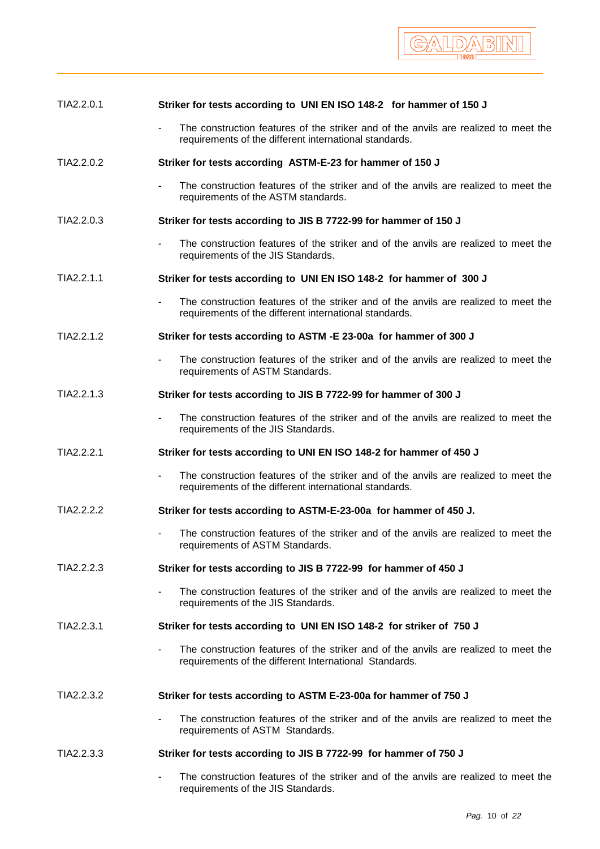

| TIA2.2.0.1 | Striker for tests according to UNI EN ISO 148-2 for hammer of 150 J                                                                           |
|------------|-----------------------------------------------------------------------------------------------------------------------------------------------|
|            | The construction features of the striker and of the anvils are realized to meet the<br>requirements of the different international standards. |
| TIA2.2.0.2 | Striker for tests according ASTM-E-23 for hammer of 150 J                                                                                     |
|            | The construction features of the striker and of the anvils are realized to meet the<br>requirements of the ASTM standards.                    |
| TIA2.2.0.3 | Striker for tests according to JIS B 7722-99 for hammer of 150 J                                                                              |
|            | The construction features of the striker and of the anvils are realized to meet the<br>$\blacksquare$<br>requirements of the JIS Standards.   |
| TIA2.2.1.1 | Striker for tests according to UNI EN ISO 148-2 for hammer of 300 J                                                                           |
|            | The construction features of the striker and of the anvils are realized to meet the<br>requirements of the different international standards. |
| TIA2.2.1.2 | Striker for tests according to ASTM -E 23-00a for hammer of 300 J                                                                             |
|            | The construction features of the striker and of the anvils are realized to meet the<br>requirements of ASTM Standards.                        |
| TIA2.2.1.3 | Striker for tests according to JIS B 7722-99 for hammer of 300 J                                                                              |
|            | The construction features of the striker and of the anvils are realized to meet the<br>requirements of the JIS Standards.                     |
| TIA2.2.2.1 | Striker for tests according to UNI EN ISO 148-2 for hammer of 450 J                                                                           |
|            | The construction features of the striker and of the anvils are realized to meet the<br>requirements of the different international standards. |
| TIA2.2.2.2 | Striker for tests according to ASTM-E-23-00a for hammer of 450 J.                                                                             |
|            | The construction features of the striker and of the anvils are realized to meet the<br>requirements of ASTM Standards.                        |
| TIA2.2.2.3 | Striker for tests according to JIS B 7722-99 for hammer of 450 J                                                                              |
|            | The construction features of the striker and of the anvils are realized to meet the<br>requirements of the JIS Standards.                     |
| TIA2.2.3.1 | Striker for tests according to UNI EN ISO 148-2 for striker of 750 J                                                                          |
|            | The construction features of the striker and of the anvils are realized to meet the<br>requirements of the different International Standards. |
| TIA2.2.3.2 | Striker for tests according to ASTM E-23-00a for hammer of 750 J                                                                              |
|            | The construction features of the striker and of the anvils are realized to meet the<br>requirements of ASTM Standards.                        |
| TIA2.2.3.3 | Striker for tests according to JIS B 7722-99 for hammer of 750 J                                                                              |
|            | The construction features of the striker and of the anvils are realized to meet the<br>requirements of the JIS Standards.                     |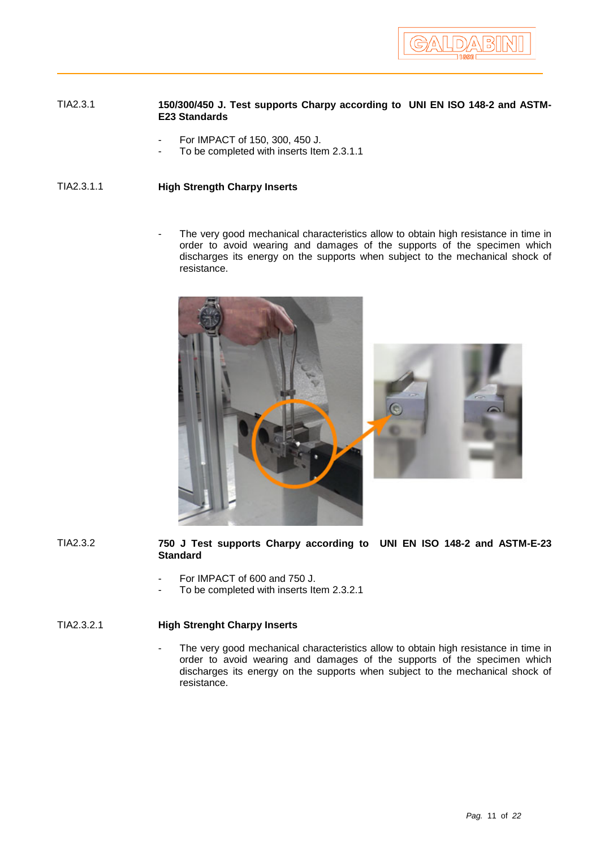

### TIA2.3.1 **150/300/450 J. Test supports Charpy according to UNI EN ISO 148-2 and ASTM-E23 Standards**

- For IMPACT of 150, 300, 450 J.
- To be completed with inserts Item 2.3.1.1

TIA2.3.1.1 **High Strength Charpy Inserts**

The very good mechanical characteristics allow to obtain high resistance in time in order to avoid wearing and damages of the supports of the specimen which discharges its energy on the supports when subject to the mechanical shock of resistance.





- For IMPACT of 600 and 750 J.
- To be completed with inserts Item 2.3.2.1

## TIA2.3.2.1 **High Strenght Charpy Inserts**

The very good mechanical characteristics allow to obtain high resistance in time in order to avoid wearing and damages of the supports of the specimen which discharges its energy on the supports when subject to the mechanical shock of resistance.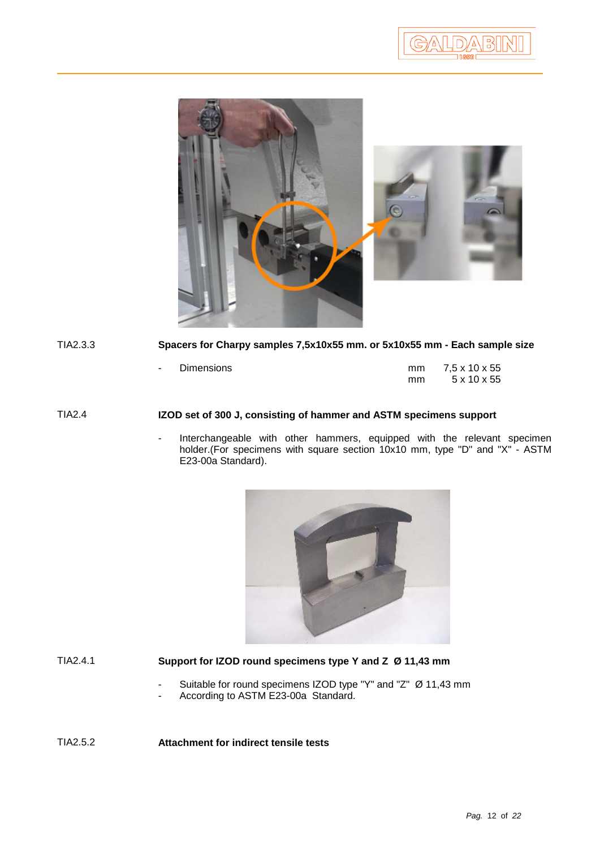

# TIA2.3.3 **Spacers for Charpy samples 7,5x10x55 mm. or 5x10x55 mm - Each sample size**

- Dimensions mm 7,5 x 7,5 x 7,5 x 7,5 x 7,5 x 7,5 x 7,5 x 7,5 x 7,5 x 7,5 x 7,5 x 7,5 x 7,5 x 7,5 x 7,5 x 7,5 x 7,5 x 7,5 x 7,5 x 7,5 x 7,5 x 7,5 x 7,5 x 7,5 x 7,5 x 7,5 x 7,5 x 7,5 x 7,5 x 7,5 x 7,5 x 7,5 x 7,5 x 7,5 x 7,

| mm | 7,5 x 10 x 55           |
|----|-------------------------|
| mm | $5 \times 10 \times 55$ |

## TIA2.4 **IZOD set of 300 J, consisting of hammer and ASTM specimens support**

Interchangeable with other hammers, equipped with the relevant specimen holder.(For specimens with square section 10x10 mm, type "D" and "X" - ASTM E23-00a Standard).



# TIA2.4.1 **Support for IZOD round specimens type Y and Z Ø 11,43 mm**

- Suitable for round specimens IZOD type "Y" and "Z" Ø 11,43 mm
- According to ASTM E23-00a Standard.

TIA2.5.2 **Attachment for indirect tensile tests**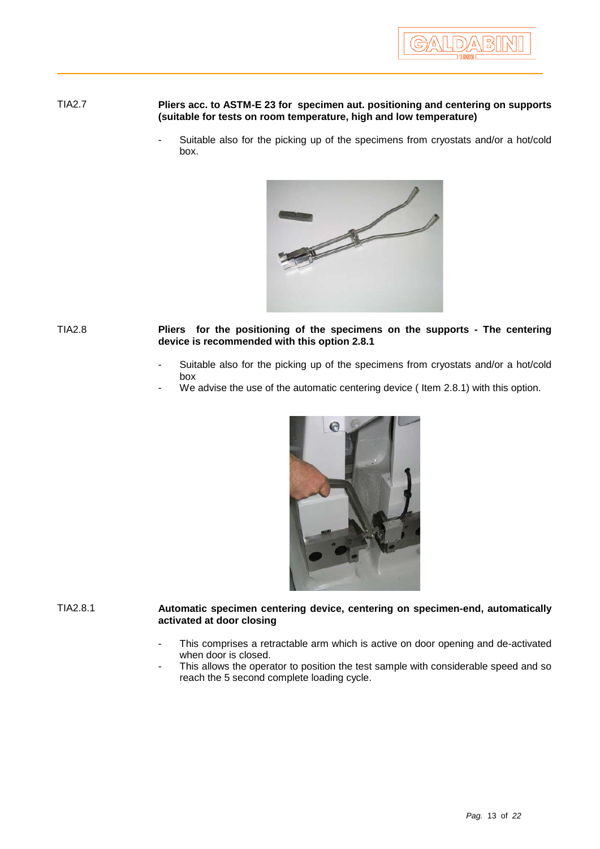### TIA2.7 **Pliers acc. to ASTM-E 23 for specimen aut. positioning and centering on supports (suitable for tests on room temperature, high and low temperature)**

Suitable also for the picking up of the specimens from cryostats and/or a hot/cold box.



TIA2.8 **Pliers for the positioning of the specimens on the supports - The centering device is recommended with this option 2.8.1**

- Suitable also for the picking up of the specimens from cryostats and/or a hot/cold box
- We advise the use of the automatic centering device (Item 2.8.1) with this option.



TIA2.8.1 **Automatic specimen centering device, centering on specimen-end, automatically activated at door closing**

- This comprises a retractable arm which is active on door opening and de-activated when door is closed.
- This allows the operator to position the test sample with considerable speed and so reach the 5 second complete loading cycle.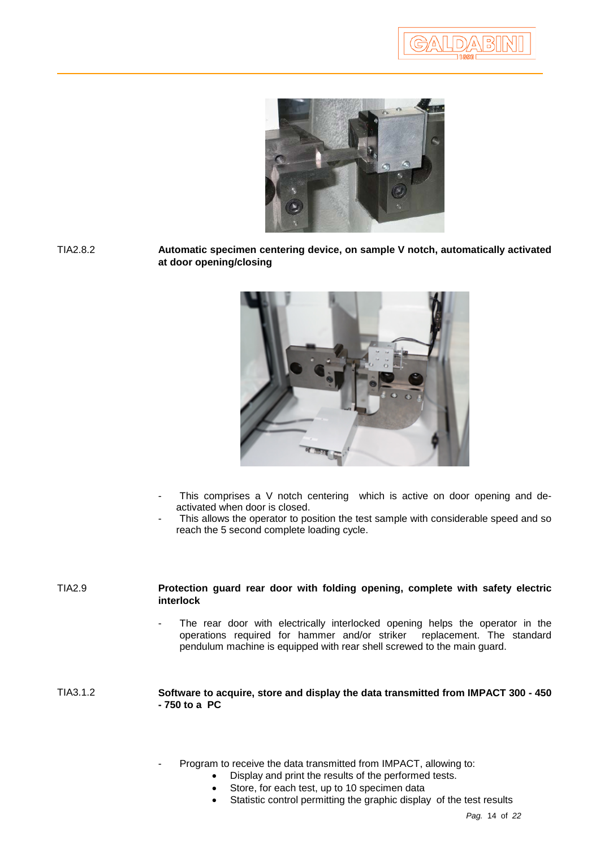|D)/<u>^</u>\|B}||



TIA2.8.2 **Automatic specimen centering device, on sample V notch, automatically activated at door opening/closing**



- This comprises a V notch centering which is active on door opening and deactivated when door is closed.
- This allows the operator to position the test sample with considerable speed and so reach the 5 second complete loading cycle.

| <b>TIA2.9</b> | Protection guard rear door with folding opening, complete with safety electric<br>interlock                                                                                                                                              |
|---------------|------------------------------------------------------------------------------------------------------------------------------------------------------------------------------------------------------------------------------------------|
|               | The rear door with electrically interlocked opening helps the operator in the<br>٠<br>operations required for hammer and/or striker replacement. The standard<br>pendulum machine is equipped with rear shell screwed to the main guard. |
| TIA3.1.2      | Software to acquire, store and display the data transmitted from IMPACT 300 - 450<br>$-750$ to a PC                                                                                                                                      |

- Program to receive the data transmitted from IMPACT, allowing to:
	- Display and print the results of the performed tests.
		- Store, for each test, up to 10 specimen data
		- Statistic control permitting the graphic display of the test results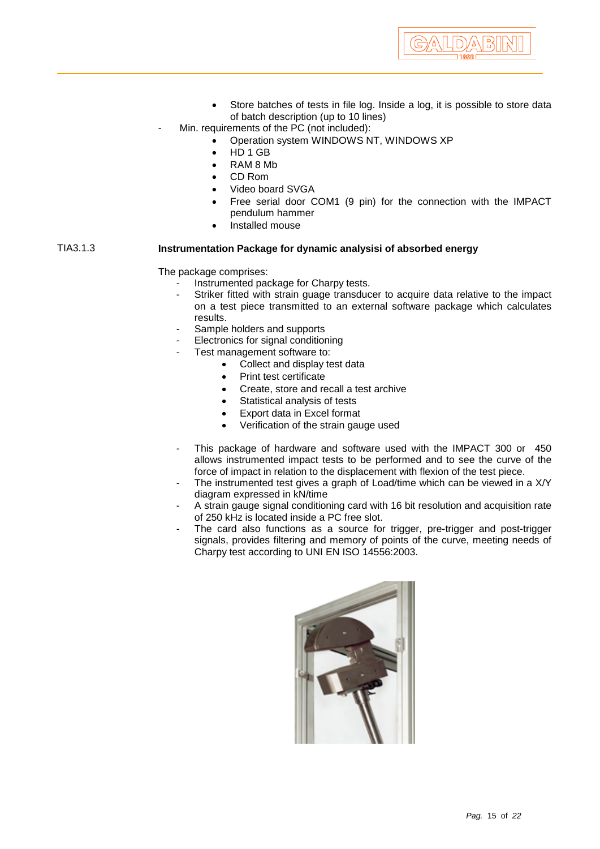

- Store batches of tests in file log. Inside a log, it is possible to store data of batch description (up to 10 lines)
- Min. requirements of the PC (not included):
	- Operation system WINDOWS NT, WINDOWS XP
		- HD 1 GB
		- RAM 8 Mb
		- CD Rom
		- Video board SVGA
		- Free serial door COM1 (9 pin) for the connection with the IMPACT pendulum hammer
		- Installed mouse

## TIA3.1.3 **Instrumentation Package for dynamic analysisi of absorbed energy**

The package comprises:

- Instrumented package for Charpy tests.
- Striker fitted with strain guage transducer to acquire data relative to the impact on a test piece transmitted to an external software package which calculates results.
- Sample holders and supports
- Electronics for signal conditioning
- Test management software to:
	- Collect and display test data
	- Print test certificate
	- Create, store and recall a test archive
	- Statistical analysis of tests
	- Export data in Excel format
	- Verification of the strain gauge used
- This package of hardware and software used with the IMPACT 300 or 450 allows instrumented impact tests to be performed and to see the curve of the force of impact in relation to the displacement with flexion of the test piece.
- The instrumented test gives a graph of Load/time which can be viewed in a X/Y diagram expressed in kN/time
- A strain gauge signal conditioning card with 16 bit resolution and acquisition rate of 250 kHz is located inside a PC free slot.
- The card also functions as a source for trigger, pre-trigger and post-trigger signals, provides filtering and memory of points of the curve, meeting needs of Charpy test according to UNI EN ISO 14556:2003.

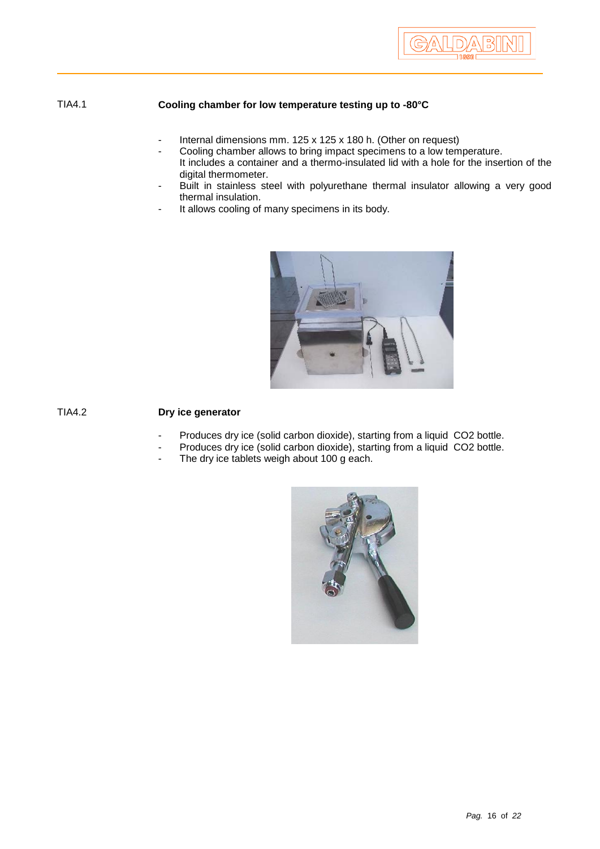

## TIA4.1 **Cooling chamber for low temperature testing up to -80°C**

- Internal dimensions mm. 125 x 125 x 180 h. (Other on request)
- Cooling chamber allows to bring impact specimens to a low temperature. It includes a container and a thermo-insulated lid with a hole for the insertion of the digital thermometer.
- Built in stainless steel with polyurethane thermal insulator allowing a very good thermal insulation.
- It allows cooling of many specimens in its body.



## TIA4.2 **Dry ice generator**

- Produces dry ice (solid carbon dioxide), starting from a liquid CO2 bottle.
- Produces dry ice (solid carbon dioxide), starting from a liquid CO2 bottle.
- The dry ice tablets weigh about 100 g each.

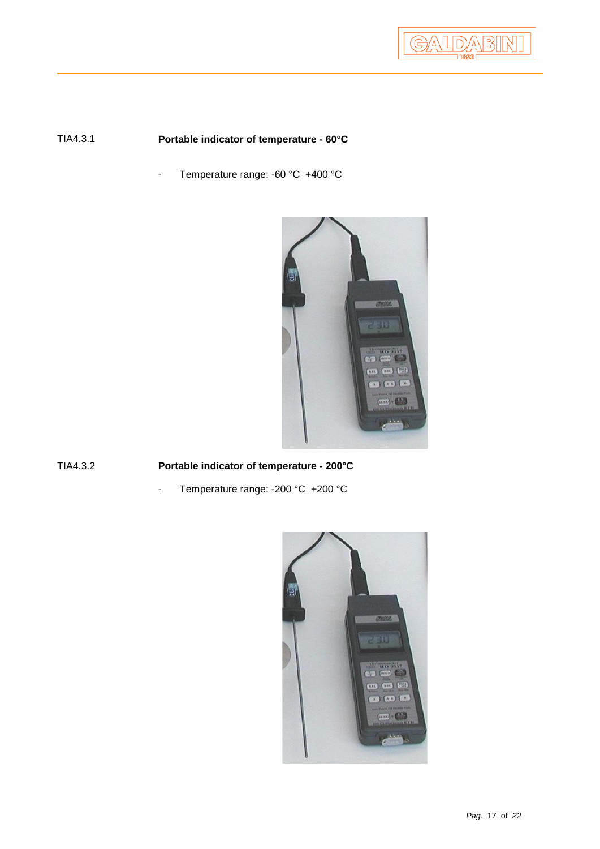

# TIA4.3.1 **Portable indicator of temperature - 60°C**

- Temperature range: -60 °C +400 °C



TIA4.3.2 **Portable indicator of temperature - 200°C**

- Temperature range: -200 °C +200 °C

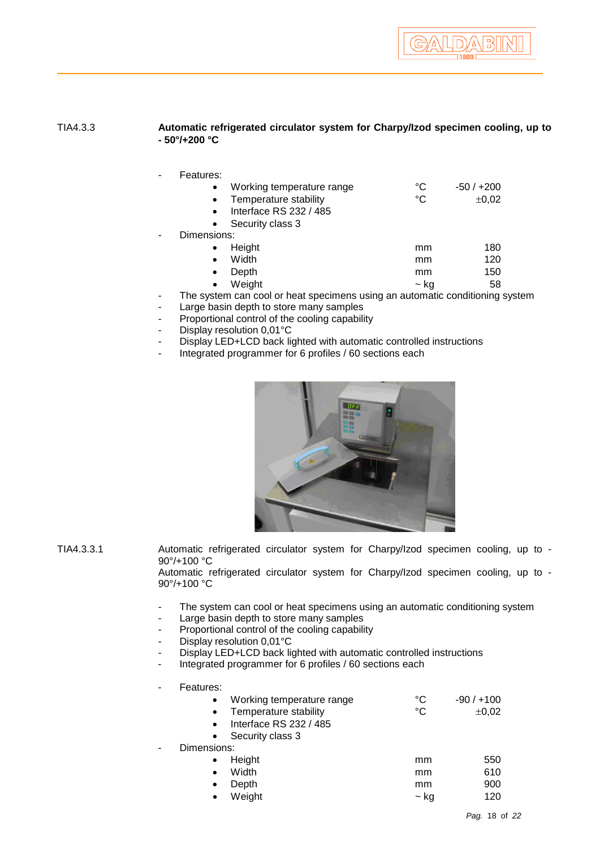## TIA4.3.3 **Automatic refrigerated circulator system for Charpy/Izod specimen cooling, up to - 50°/+200 °C**

| Working temperature range                                                 | °C   | $-50/+200$ |
|---------------------------------------------------------------------------|------|------------|
| Temperature stability<br>$\bullet$                                        | °C   | $\pm 0.02$ |
| Interface RS 232 / 485<br>$\bullet$                                       |      |            |
| Security class 3<br>$\bullet$                                             |      |            |
| Dimensions:                                                               |      |            |
| Height<br>$\bullet$                                                       | mm   | 180        |
| Width<br>$\bullet$                                                        | mm   | 120        |
| Depth<br>$\bullet$                                                        | mm   | 150        |
| Weight<br>$\bullet$                                                       | ~ ka | 58         |
| The system can cool or heat specimens using an automatic conditioning sys |      |            |

- The system can cool or heat specimens using an automatic conditioning system
- Large basin depth to store many samples
- Proportional control of the cooling capability
- Display resolution 0,01°C
- Display LED+LCD back lighted with automatic controlled instructions
- Integrated programmer for 6 profiles / 60 sections each



TIA4.3.3.1 Automatic refrigerated circulator system for Charpy/Izod specimen cooling, up to - 90°/+100 °C

Automatic refrigerated circulator system for Charpy/Izod specimen cooling, up to - 90°/+100 °C

- The system can cool or heat specimens using an automatic conditioning system
- Large basin depth to store many samples
- Proportional control of the cooling capability
- Display resolution 0,01°C
- Display LED+LCD back lighted with automatic controlled instructions
- Integrated programmer for 6 profiles / 60 sections each
- Features:

|             | Working temperature range | °C   | $-90/+100$ |
|-------------|---------------------------|------|------------|
|             | Temperature stability     | °C   | ±0,02      |
|             | Interface RS 232 / 485    |      |            |
|             | Security class 3          |      |            |
| Dimensions: |                           |      |            |
|             | Height                    | mm   | 550        |
| $\bullet$   | Width                     | mm   | 610        |
| $\bullet$   | Depth                     | mm   | 900        |
| $\bullet$   | Weight                    | ~ ka | 120        |
|             |                           |      |            |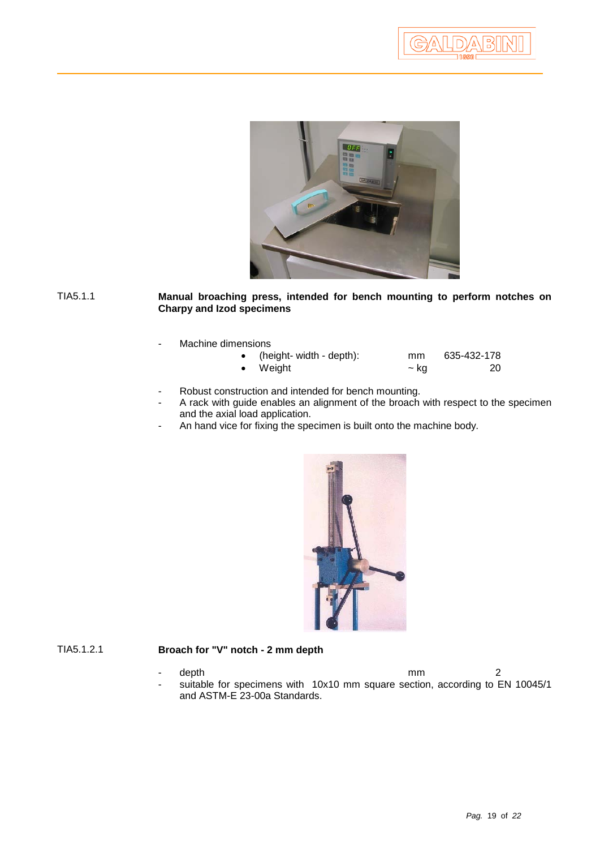

TIA5.1.1 **Manual broaching press, intended for bench mounting to perform notches on Charpy and Izod specimens**

Machine dimensions

| (height- width - depth): | mm | 635-432-178 |
|--------------------------|----|-------------|
|                          |    |             |

- 
- Weight  $\sim$  kg  $\sim$  20
- Robust construction and intended for bench mounting.
	- A rack with guide enables an alignment of the broach with respect to the specimen and the axial load application.
- An hand vice for fixing the specimen is built onto the machine body.



## TIA5.1.2.1 **Broach for "V" notch - 2 mm depth**

- depth 2 suitable for specimens with 10x10 mm square section, according to EN 10045/1 and ASTM-E 23-00a Standards.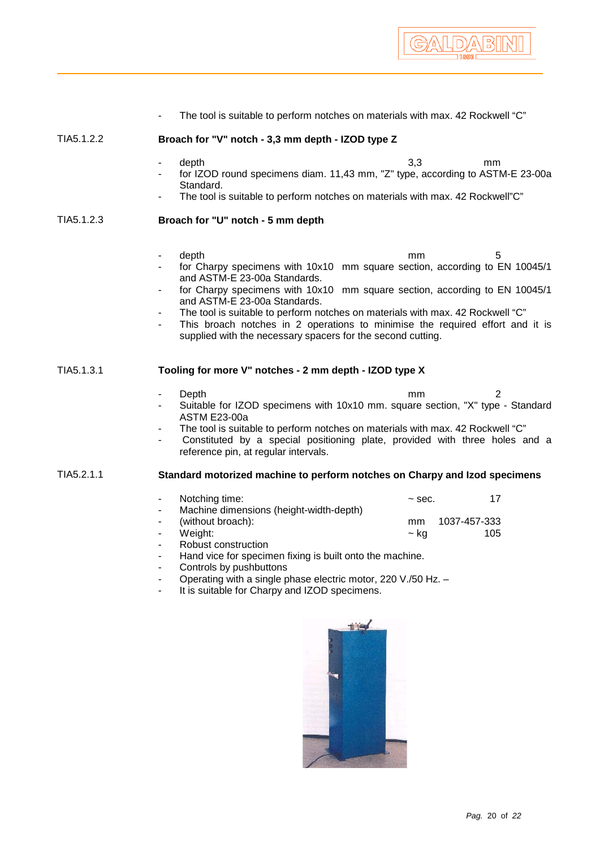|            | The tool is suitable to perform notches on materials with max. 42 Rockwell "C"                                                                                                                                                                                                                                                                                                                                                                                                                  |                                                             |
|------------|-------------------------------------------------------------------------------------------------------------------------------------------------------------------------------------------------------------------------------------------------------------------------------------------------------------------------------------------------------------------------------------------------------------------------------------------------------------------------------------------------|-------------------------------------------------------------|
| TIA5.1.2.2 | Broach for "V" notch - 3,3 mm depth - IZOD type Z                                                                                                                                                                                                                                                                                                                                                                                                                                               |                                                             |
|            | depth<br>$\overline{\phantom{a}}$<br>for IZOD round specimens diam. 11,43 mm, "Z" type, according to ASTM-E 23-00a<br>Standard.<br>The tool is suitable to perform notches on materials with max. 42 Rockwell"C"                                                                                                                                                                                                                                                                                | 3,3<br>mm                                                   |
| TIA5.1.2.3 | Broach for "U" notch - 5 mm depth                                                                                                                                                                                                                                                                                                                                                                                                                                                               |                                                             |
|            | depth<br>٠<br>for Charpy specimens with 10x10 mm square section, according to EN 10045/1<br>and ASTM-E 23-00a Standards.<br>for Charpy specimens with 10x10 mm square section, according to EN 10045/1<br>٠<br>and ASTM-E 23-00a Standards.<br>The tool is suitable to perform notches on materials with max. 42 Rockwell "C"<br>This broach notches in 2 operations to minimise the required effort and it is<br>$\blacksquare$<br>supplied with the necessary spacers for the second cutting. | 5<br>mm                                                     |
| TIA5.1.3.1 | Tooling for more V" notches - 2 mm depth - IZOD type X                                                                                                                                                                                                                                                                                                                                                                                                                                          |                                                             |
|            | Depth<br>۰<br>Suitable for IZOD specimens with 10x10 mm. square section, "X" type - Standard<br><b>ASTM E23-00a</b><br>The tool is suitable to perform notches on materials with max. 42 Rockwell "C"<br>Constituted by a special positioning plate, provided with three holes and a<br>reference pin, at regular intervals.                                                                                                                                                                    | 2<br>mm                                                     |
| TIA5.2.1.1 | Standard motorized machine to perform notches on Charpy and Izod specimens                                                                                                                                                                                                                                                                                                                                                                                                                      |                                                             |
|            | Notching time:<br>$\blacksquare$<br>Machine dimensions (height-width-depth)<br>(without broach):<br>Weight:<br>Robust construction<br>Hand vice for specimen fixing is built onto the machine.<br>Controls by pushbuttons<br>Operating with a single phase electric motor, 220 V./50 Hz. -<br>It is suitable for Charpy and IZOD specimens.                                                                                                                                                     | 17<br>$\sim$ sec.<br>1037-457-333<br>mm<br>105<br>$\sim$ kg |
|            | <b>MILLER</b>                                                                                                                                                                                                                                                                                                                                                                                                                                                                                   |                                                             |

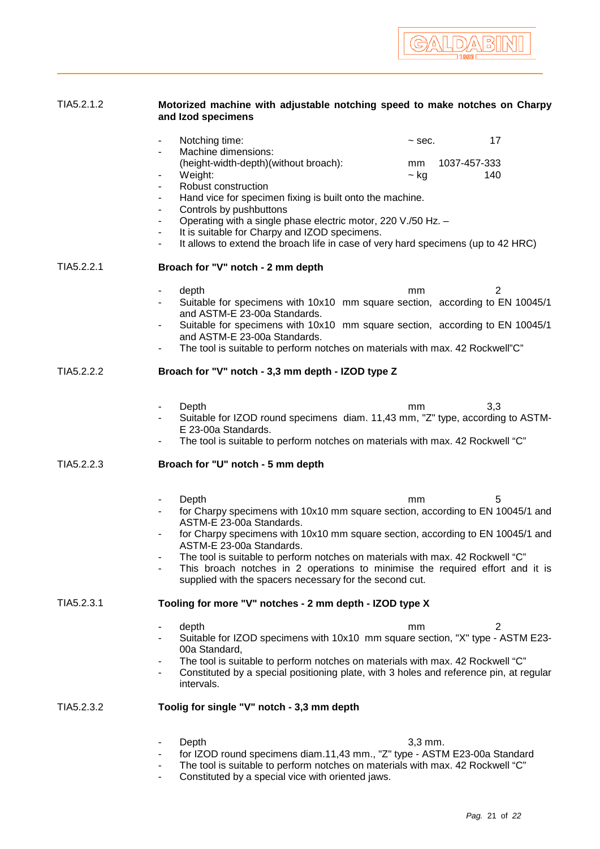# TIA5.2.1.2 **Motorized machine with adjustable notching speed to make notches on Charpy and Izod specimens**

|            | Notching time:                                                                                                                                                                                                                                         | 17<br>$\sim$ sec.                      |
|------------|--------------------------------------------------------------------------------------------------------------------------------------------------------------------------------------------------------------------------------------------------------|----------------------------------------|
|            | Machine dimensions:<br>(height-width-depth)(without broach):<br>Weight:                                                                                                                                                                                | 1037-457-333<br>mm<br>$\sim$ kg<br>140 |
|            | Robust construction<br>$\overline{\phantom{a}}$<br>Hand vice for specimen fixing is built onto the machine.<br>$\overline{\phantom{a}}$                                                                                                                |                                        |
|            | Controls by pushbuttons<br>٠<br>Operating with a single phase electric motor, 220 V./50 Hz. -<br>-<br>It is suitable for Charpy and IZOD specimens.                                                                                                    |                                        |
|            | It allows to extend the broach life in case of very hard specimens (up to 42 HRC)                                                                                                                                                                      |                                        |
| TIA5.2.2.1 | Broach for "V" notch - 2 mm depth                                                                                                                                                                                                                      |                                        |
|            | depth<br>$\qquad \qquad \blacksquare$<br>Suitable for specimens with 10x10 mm square section, according to EN 10045/1<br>and ASTM-E 23-00a Standards.<br>Suitable for specimens with 10x10 mm square section, according to EN 10045/1<br>٠             | 2<br>mm                                |
|            | and ASTM-E 23-00a Standards.<br>The tool is suitable to perform notches on materials with max. 42 Rockwell"C"<br>۰                                                                                                                                     |                                        |
| TIA5.2.2.2 | Broach for "V" notch - 3,3 mm depth - IZOD type Z                                                                                                                                                                                                      |                                        |
|            | Depth<br>$\qquad \qquad \blacksquare$                                                                                                                                                                                                                  | 3,3<br>mm                              |
|            | Suitable for IZOD round specimens diam. 11,43 mm, "Z" type, according to ASTM-<br>E 23-00a Standards.                                                                                                                                                  |                                        |
|            | The tool is suitable to perform notches on materials with max. 42 Rockwell "C"                                                                                                                                                                         |                                        |
|            |                                                                                                                                                                                                                                                        |                                        |
| TIA5.2.2.3 | Broach for "U" notch - 5 mm depth                                                                                                                                                                                                                      |                                        |
|            | Depth<br>-                                                                                                                                                                                                                                             | mm<br>5                                |
|            | for Charpy specimens with 10x10 mm square section, according to EN 10045/1 and<br>ASTM-E 23-00a Standards.                                                                                                                                             |                                        |
|            | for Charpy specimens with 10x10 mm square section, according to EN 10045/1 and<br>ASTM-E 23-00a Standards.                                                                                                                                             |                                        |
|            | The tool is suitable to perform notches on materials with max. 42 Rockwell "C"<br>This broach notches in 2 operations to minimise the required effort and it is<br>$\overline{\phantom{m}}$<br>supplied with the spacers necessary for the second cut. |                                        |
| TIA5.2.3.1 | Tooling for more "V" notches - 2 mm depth - IZOD type X                                                                                                                                                                                                |                                        |
|            | depth<br>Suitable for IZOD specimens with 10x10 mm square section, "X" type - ASTM E23-                                                                                                                                                                | 2<br>mm                                |
|            | 00a Standard,<br>The tool is suitable to perform notches on materials with max. 42 Rockwell "C"<br>Constituted by a special positioning plate, with 3 holes and reference pin, at regular<br>intervals.                                                |                                        |
| TIA5.2.3.2 | Toolig for single "V" notch - 3,3 mm depth                                                                                                                                                                                                             |                                        |
|            | Depth<br>$\qquad \qquad \blacksquare$<br>for IZOD round specimens diam.11,43 mm., "Z" type - ASTM E23-00a Standard                                                                                                                                     | $3,3$ mm.                              |

- Constituted by a special vice with oriented jaws.